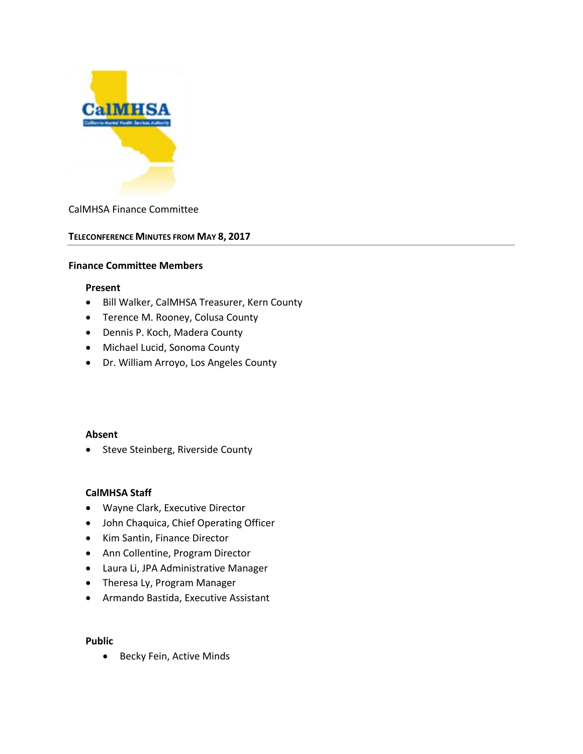

#### CalMHSA Finance Committee

#### **TELECONFERENCE MINUTES FROM MAY 8, 2017**

#### **Finance Committee Members**

#### **Present**

- Bill Walker, CalMHSA Treasurer, Kern County
- Terence M. Rooney, Colusa County
- Dennis P. Koch, Madera County
- Michael Lucid, Sonoma County
- Dr. William Arroyo, Los Angeles County

#### **Absent**

• Steve Steinberg, Riverside County

#### **CalMHSA Staff**

- Wayne Clark, Executive Director
- John Chaquica, Chief Operating Officer
- Kim Santin, Finance Director
- Ann Collentine, Program Director
- Laura Li, JPA Administrative Manager
- Theresa Ly, Program Manager
- Armando Bastida, Executive Assistant

#### **Public**

• Becky Fein, Active Minds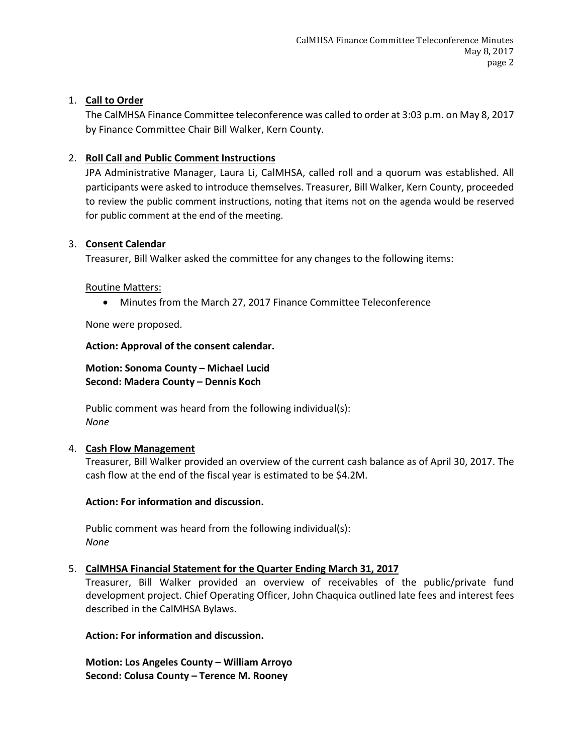## 1. **Call to Order**

The CalMHSA Finance Committee teleconference was called to order at 3:03 p.m. on May 8, 2017 by Finance Committee Chair Bill Walker, Kern County.

## 2. **Roll Call and Public Comment Instructions**

JPA Administrative Manager, Laura Li, CalMHSA, called roll and a quorum was established. All participants were asked to introduce themselves. Treasurer, Bill Walker, Kern County, proceeded to review the public comment instructions, noting that items not on the agenda would be reserved for public comment at the end of the meeting.

#### 3. **Consent Calendar**

Treasurer, Bill Walker asked the committee for any changes to the following items:

#### Routine Matters:

• Minutes from the March 27, 2017 Finance Committee Teleconference

None were proposed.

### **Action: Approval of the consent calendar.**

**Motion: Sonoma County – Michael Lucid Second: Madera County – Dennis Koch**

Public comment was heard from the following individual(s): *None*

### 4. **Cash Flow Management**

Treasurer, Bill Walker provided an overview of the current cash balance as of April 30, 2017. The cash flow at the end of the fiscal year is estimated to be \$4.2M.

### **Action: For information and discussion.**

Public comment was heard from the following individual(s): *None*

### 5. **CalMHSA Financial Statement for the Quarter Ending March 31, 2017**

Treasurer, Bill Walker provided an overview of receivables of the public/private fund development project. Chief Operating Officer, John Chaquica outlined late fees and interest fees described in the CalMHSA Bylaws.

### **Action: For information and discussion.**

**Motion: Los Angeles County – William Arroyo Second: Colusa County – Terence M. Rooney**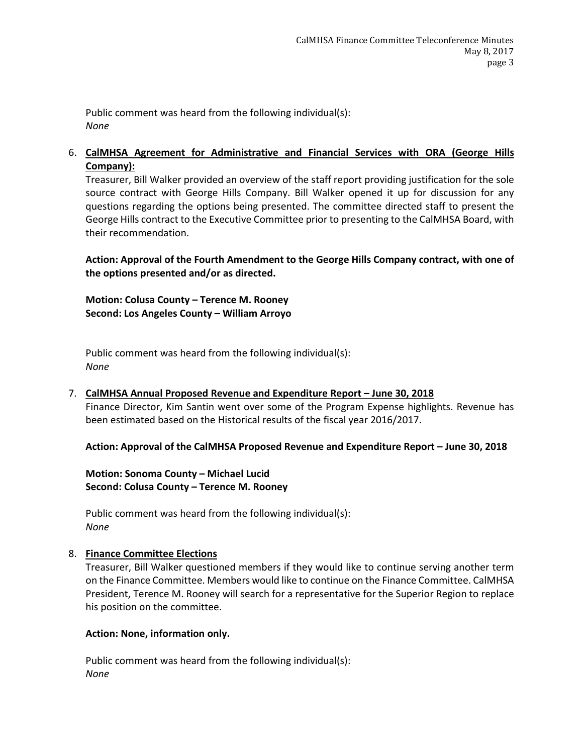Public comment was heard from the following individual(s): *None*

## 6. **CalMHSA Agreement for Administrative and Financial Services with ORA (George Hills Company):**

Treasurer, Bill Walker provided an overview of the staff report providing justification for the sole source contract with George Hills Company. Bill Walker opened it up for discussion for any questions regarding the options being presented. The committee directed staff to present the George Hills contract to the Executive Committee prior to presenting to the CalMHSA Board, with their recommendation.

**Action: Approval of the Fourth Amendment to the George Hills Company contract, with one of the options presented and/or as directed.**

**Motion: Colusa County – Terence M. Rooney Second: Los Angeles County – William Arroyo**

Public comment was heard from the following individual(s): *None*

# 7. **CalMHSA Annual Proposed Revenue and Expenditure Report – June 30, 2018**

Finance Director, Kim Santin went over some of the Program Expense highlights. Revenue has been estimated based on the Historical results of the fiscal year 2016/2017.

**Action: Approval of the CalMHSA Proposed Revenue and Expenditure Report – June 30, 2018**

**Motion: Sonoma County – Michael Lucid Second: Colusa County – Terence M. Rooney**

Public comment was heard from the following individual(s): *None*

### 8. **Finance Committee Elections**

Treasurer, Bill Walker questioned members if they would like to continue serving another term on the Finance Committee. Members would like to continue on the Finance Committee. CalMHSA President, Terence M. Rooney will search for a representative for the Superior Region to replace his position on the committee.

### **Action: None, information only.**

Public comment was heard from the following individual(s): *None*